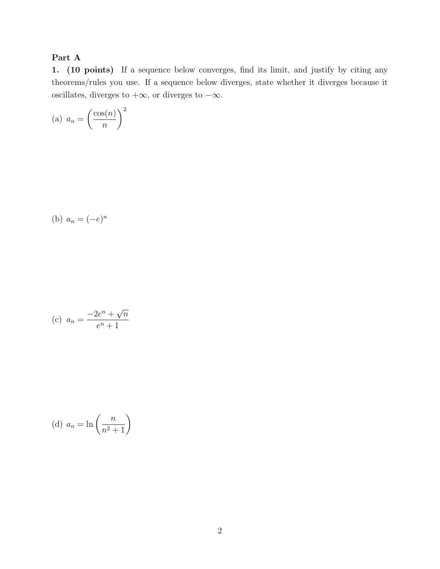## Part A

1. (10 points) If a sequence below converges, find its limit, and justify by citing any theorems/rules you use. If a sequence below diverges, state whether it diverges because it oscillates, diverges to  $+\infty$ , or diverges to  $-\infty$ .

(a) 
$$
a_n = \left(\frac{\cos(n)}{n}\right)^2
$$

(b) 
$$
a_n = (-e)^n
$$

(c) 
$$
a_n = \frac{-2e^n + \sqrt{n}}{e^n + 1}
$$

(d) 
$$
a_n = \ln\left(\frac{n}{n^2 + 1}\right)
$$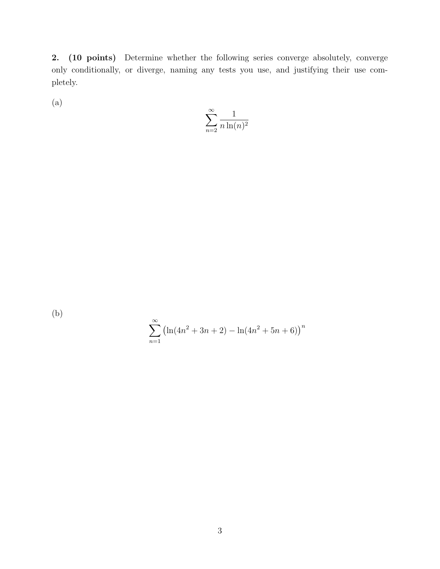2. (10 points) Determine whether the following series converge absolutely, converge only conditionally, or diverge, naming any tests you use, and justifying their use completely.

(a)

$$
\sum_{n=2}^{\infty} \frac{1}{n \ln(n)^2}
$$

(b)

$$
\sum_{n=1}^{\infty} (\ln(4n^2 + 3n + 2) - \ln(4n^2 + 5n + 6))^n
$$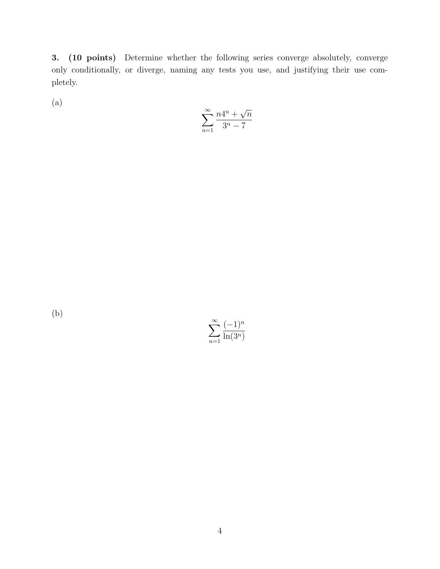3. (10 points) Determine whether the following series converge absolutely, converge only conditionally, or diverge, naming any tests you use, and justifying their use completely.

(a)

$$
\sum_{n=1}^\infty \frac{n4^n + \sqrt{n}}{3^n - 7}
$$

(b)

 $\sum_{\infty}$ *n*=1  $(-1)^n$ ln(3*<sup>n</sup>*)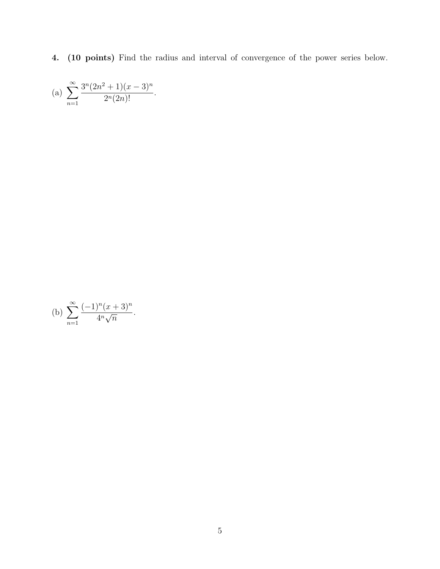4. (10 points) Find the radius and interval of convergence of the power series below.

(a) 
$$
\sum_{n=1}^{\infty} \frac{3^n (2n^2 + 1)(x - 3)^n}{2^n (2n)!}.
$$

(b) 
$$
\sum_{n=1}^{\infty} \frac{(-1)^n (x+3)^n}{4^n \sqrt{n}}.
$$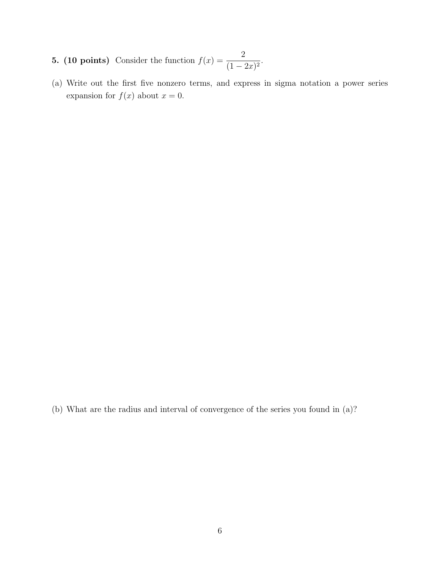- 5. (10 points) Consider the function  $f(x) = \frac{2}{(1-x)^2}$  $\frac{1}{(1-2x)^2}$ .
- (a) Write out the first five nonzero terms, and express in sigma notation a power series expansion for  $f(x)$  about  $x = 0$ .

(b) What are the radius and interval of convergence of the series you found in (a)?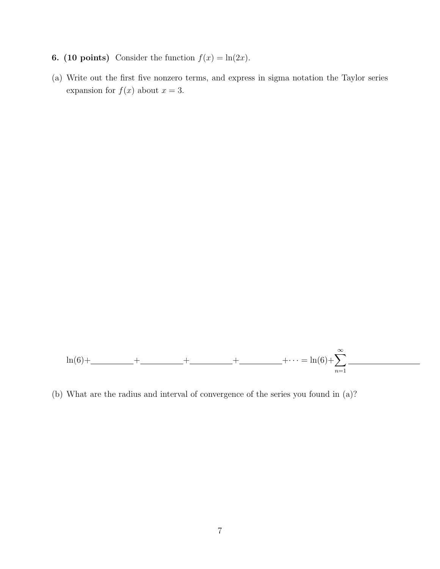- 6. (10 points) Consider the function  $f(x) = \ln(2x)$ .
- (a) Write out the first five nonzero terms, and express in sigma notation the Taylor series expansion for  $f(x)$  about  $x = 3$ .



(b) What are the radius and interval of convergence of the series you found in (a)?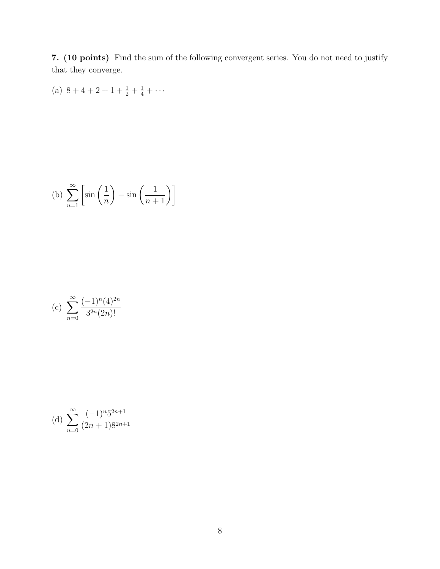7. (10 points) Find the sum of the following convergent series. You do not need to justify that they converge.

(a) 
$$
8+4+2+1+\frac{1}{2}+\frac{1}{4}+\cdots
$$

(b) 
$$
\sum_{n=1}^{\infty} \left[ \sin\left(\frac{1}{n}\right) - \sin\left(\frac{1}{n+1}\right) \right]
$$

(c) 
$$
\sum_{n=0}^{\infty} \frac{(-1)^n (4)^{2n}}{3^{2n} (2n)!}
$$

(d) 
$$
\sum_{n=0}^{\infty} \frac{(-1)^n 5^{2n+1}}{(2n+1)8^{2n+1}}
$$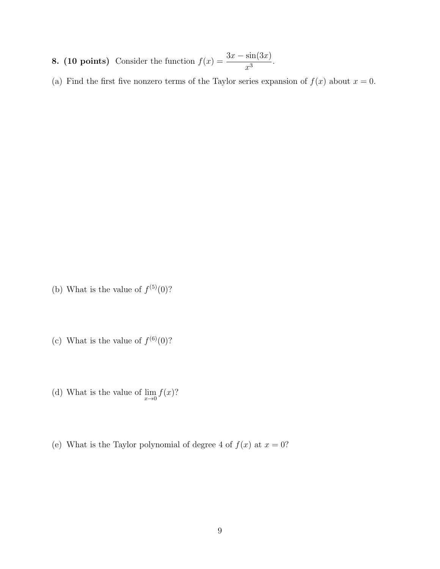- 8. (10 points) Consider the function  $f(x) = \frac{3x \sin(3x)}{3}$  $\frac{\sin(\theta x)}{x^3}$ .
- (a) Find the first five nonzero terms of the Taylor series expansion of  $f(x)$  about  $x = 0$ .

- (b) What is the value of  $f^{(5)}(0)$ ?
- (c) What is the value of  $f^{(6)}(0)$ ?
- (d) What is the value of  $\lim_{x\to 0} f(x)$ ?
- (e) What is the Taylor polynomial of degree 4 of  $f(x)$  at  $x = 0$ ?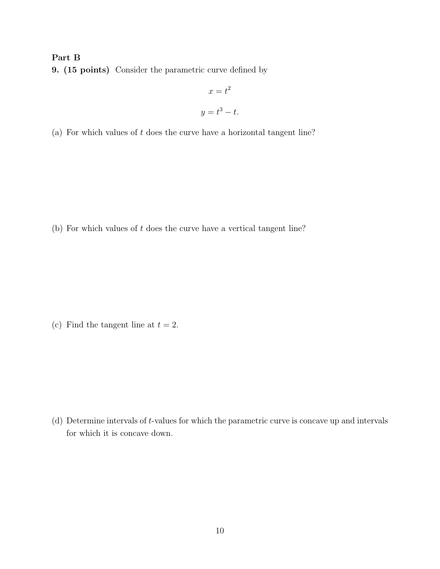## Part B

9. (15 points) Consider the parametric curve defined by

$$
x = t^2
$$

$$
y = t^3 - t.
$$

(a) For which values of *t* does the curve have a horizontal tangent line?

(b) For which values of *t* does the curve have a vertical tangent line?

(c) Find the tangent line at  $t = 2$ .

(d) Determine intervals of *t*-values for which the parametric curve is concave up and intervals for which it is concave down.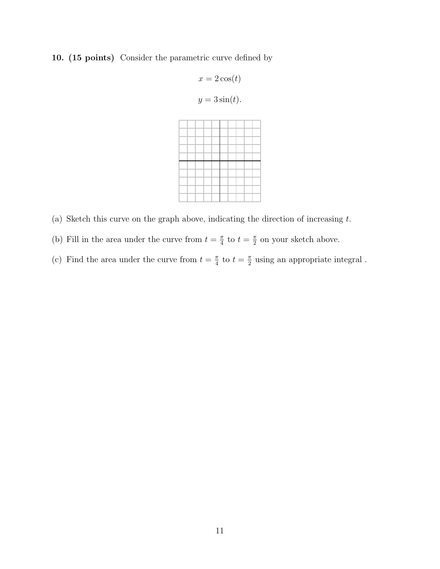## 10. (15 points) Consider the parametric curve defined by

$$
x = 2\cos(t)
$$
  

$$
y = 3\sin(t).
$$

- (a) Sketch this curve on the graph above, indicating the direction of increasing *t*.
- (b) Fill in the area under the curve from  $t = \frac{\pi}{4}$  to  $t = \frac{\pi}{2}$  on your sketch above.
- (c) Find the area under the curve from  $t = \frac{\pi}{4}$  to  $t = \frac{\pi}{2}$  using an appropriate integral.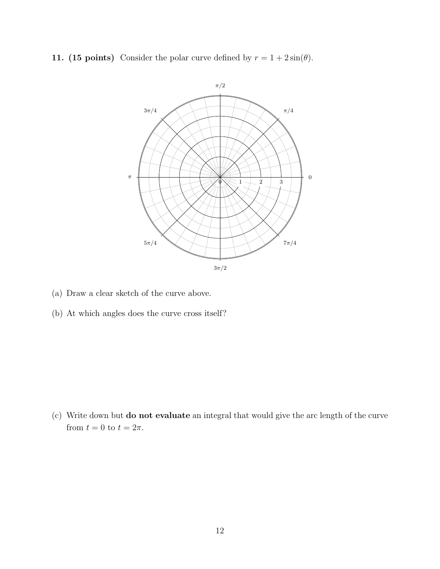11. (15 points) Consider the polar curve defined by  $r = 1 + 2\sin(\theta)$ .



- (a) Draw a clear sketch of the curve above.
- (b) At which angles does the curve cross itself?

(c) Write down but do not evaluate an integral that would give the arc length of the curve from  $t = 0$  to  $t = 2\pi$ .